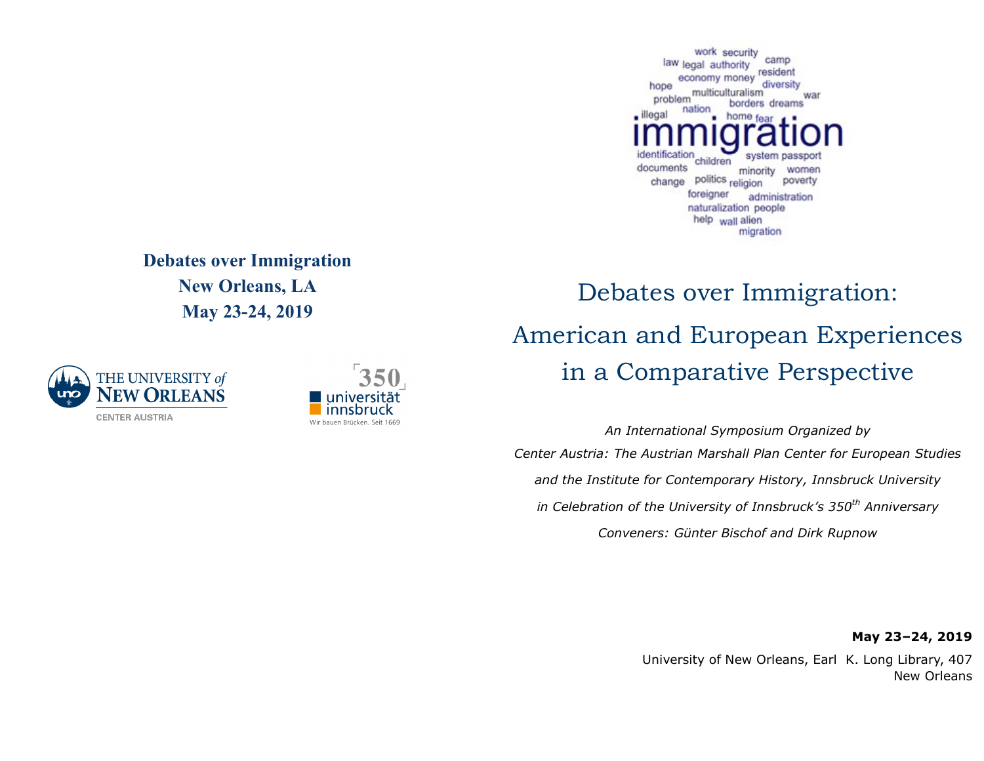work security camp law legal authority resident economy money diversity hope multiculturalism war problem borders dreams nation illegal home fear dentification system passpo children documents minority women politics religion poverty change foreigner administration naturalization people help wall alien migration

## **Debates over Immigration New Orleans, LA May 23-24, 2019**





## Debates over Immigration: American and European Experiences in a Comparative Perspective

*An International Symposium Organized by Center Austria: The Austrian Marshall Plan Center for European Studies and the Institute for Contemporary History, Innsbruck University in Celebration of the University of Innsbruck's 350th Anniversary Conveners: Günter Bischof and Dirk Rupnow*

**May 23–24, 2019**

[University of New Orleans, Earl K. Long Library, 407](https://www.marriott.com/hotels/travel/msyci-courtyard-new-orleans-french-quarter-iberville/)  New Orleans